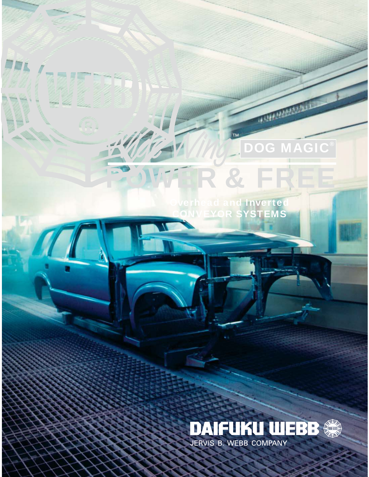**POWER & FREE Overhead and Inverted**

™

N Fit

黑耳

D

**CONVEYOR SYSTEMS**

 $\overline{\mathsf{M}}$ 

**DOG MAGIC®**

**COMMUNICATION** 

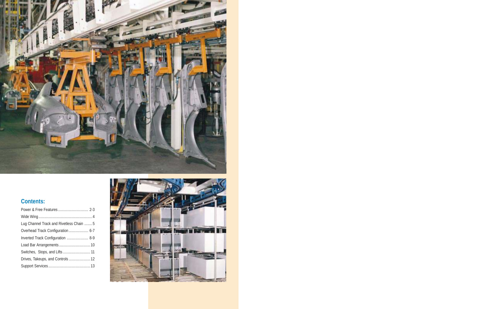

# **Contents:**

| Lug Channel Track and Rivetless Chain  5 |  |
|------------------------------------------|--|
| Overhead Track Configuration 6-7         |  |
| Inverted Track Configuration  8-9        |  |
|                                          |  |
|                                          |  |
| Drives, Takeups, and Controls 12         |  |
|                                          |  |
|                                          |  |

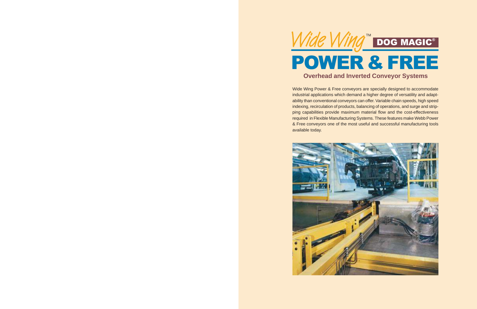

Wide Wing Power & Free conveyors are specially designed to accommodate industrial applications which demand a higher degree of versatility and adaptability than conventional conveyors can offer. Variable chain speeds, high speed indexing, recirculation of products, balancing of operations, and surge and stripping capabilities provide maximum material flow and the cost-effectiveness required in Flexible Manufacturing Systems. These features make Webb Power & Free conveyors one of the most useful and successful manufacturing tools available today.

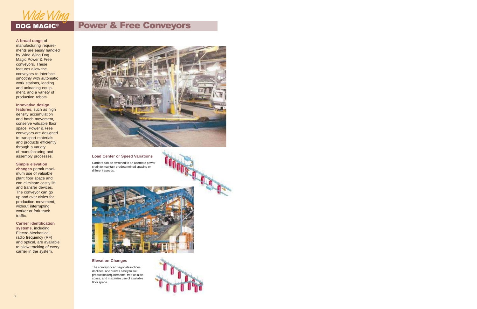

#### **A broad range** of manufacturing requirements are easily handled by Wide Wing Dog Magic Power & Free conveyors. These features allow the conveyors to interface smoothly with automatic work stations, loading and unloading equipment, and a variety of production robots.

#### **Innovative design**

**features**, such as high density accumulation and batch movement, conserve valuable floor space. Power & Free conveyors are designed to transport materials and products efficiently through a variety of manufacturing and assembly processes.

#### **Simple elevation**

**changes** permit maximum use of valuable plant floor space and can eliminate costly lift and transfer devices. The conveyor can go up and over aisles for production movement, without interrupting worker or fork truck traffic.

**Carrier identification systems**, including Electro-Mechanical, radio frequency (RF) and optical, are available to allow tracking of every carrier in the system.

# DOG MAGIC<sup>®</sup> Power & Free Conveyors



#### **Load Center or Speed Variations**

Carriers can be switched to an alternate power chain to maintain predetermined spacing or different speeds.



#### **Elevation Changes**

The conveyor can negotiate inclines, declines, and curves easily to suit production requirements, free up aisle space, and maximize use of available floor space.

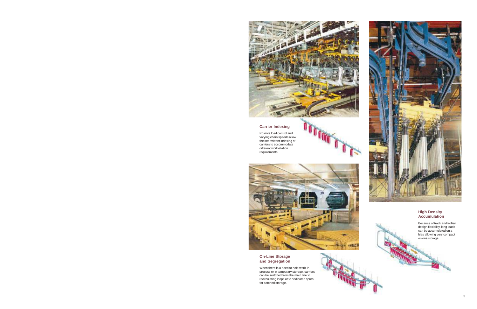

ı

# **Carrier Indexing**

Positive load control and varying chain speeds allow the intermittent indexing of carriers to accommodate different work-station requirements.





#### **On-Line Storage and Segregation**

When there is a need to hold work-inprocess or in temporary storage, carriers can be switched from the main line to recirculating loops or to dedicated spurs for batched storage.



#### **High Density Accumulation**

Because of track and trolley design flexibility, long loads can be accumulated on a bias allowing very compact on-line storage.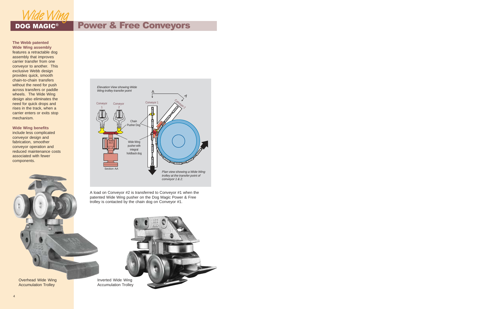

# DOG MAGIC<sup>®</sup> Power & Free Conveyors

**The Webb patented Wide Wing assembly** features a retractable dog assembly that improves carrier transfer from one conveyor to another. This exclusive Webb design provides quick, smooth chain-to-chain transfers without the need for push across transfers or paddle wheels. The Wide Wing design also eliminates the need for quick drops and rises in the track, when a carrier enters or exits stop mechanism.

**Wide Wing benefits** include less complicated conveyor design and fabrication, smoother conveyor operation and reduced maintenance costs associated with fewer components.



A load on Conveyor #2 is transferred to Conveyor #1 when the patented Wide Wing pusher on the Dog Magic Power & Free trolley is contacted by the chain dog on Conveyor #1.

Overhead Wide Wing Accumulation Trolley

Inverted Wide Wing Accumulation Trolley

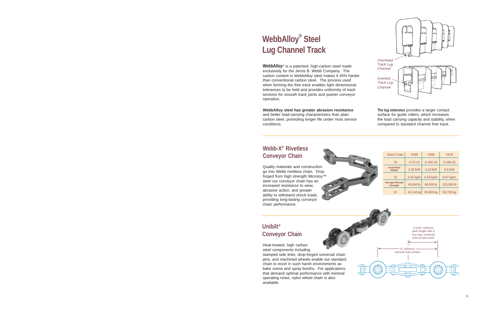# **WebbAlloy® Steel Lug Channel Track**

**WebbAlloy**® is a patented, high-carbon steel made exclusively for the Jervis B. Webb Company. The carbon content in WebbAlloy steel makes it 45% harder than conventional carbon steel. The process used when forming the free track enables tight dimensional tolerances to be held and provides uniformity of track sections for smooth track joints and quieter conveyor operation.

**WebbAlloy steel has greater abrasion resistance** and better load-carrying characteristics than plain carbon steel, promoting longer life under most service conditions.



**The lug extension** provides a larger contact surface for guide rollers, which increases the load carrying capacity and stability, when compared to standard channel free track.

# **Webb-X® Rivetless Conveyor Chain**

Quality materials and construction go into Webb rivetless chain. Drop forged from high strength Microloy™ steel our conveyor chain has an increased resistance to wear, abrasive action, and greater ability to withstand shock loads, providing long-lasting conveyor chain performance.

| <b>Stock Chain</b>                         | X348          | X458       | <b>X678</b> |
|--------------------------------------------|---------------|------------|-------------|
| SI                                         | $X - 75 - 13$ | X-100-16   | $X-150-22$  |
| <b>Assembled</b><br>Weight                 | 2.25 lb/ft    | 3.10 lb/ft | $6.5$ lb/ft |
| SI                                         | 3.35 kg/m     | 4.63 kg/m  | 9.67 kg/m   |
| <b>Average Ultimate</b><br><b>Strength</b> | 40,000 lb     | 68,000 lb  | 125,000 lb  |
| SI                                         | 18,144 kg     | 30,845 kg  | 56,700 kg   |

# **Unibilt ® Conveyor Chain**

Heat-treated, high carbon steel components including

stamped side links, drop-forged universal chain pins, and machined wheels enable our standard chain to excel in such harsh environments as bake ovens and spray booths. For applications that demand optimal performance with minimal operating noise, nylon wheel chain is also available.

4-1/16" (103mm) pitch length with a four-way universal joint at each pitch ➤ ➤



FE H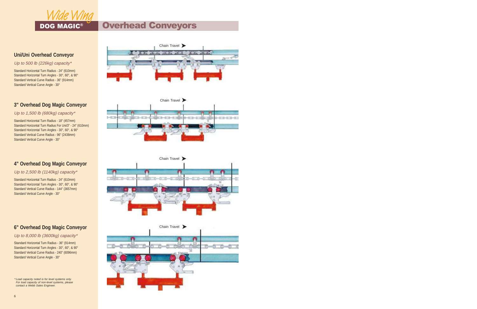

# DOG MAGIC® **Overhead Conveyors**

# **Uni/Uni Overhead Conveyor**

#### Up to 500 lb (226kg) capacity\*

Standard Horizontal Turn Radius - 24" (610mm) Standard Horizontal Turn Angles - 30°, 60°, & 90° Standard Vertical Curve Radius - 36" (914mm) Standard Vertical Curve Angle - 30°

# **3" Overhead Dog Magic Conveyor**

Up to 1,500 lb (680kg) capacity\*

Standard Horizontal Turn Radius - 18" (457mm) Standard Horizontal Turn Radius For Uni/3" - 24" (610mm) Standard Horizontal Turn Angles - 30°, 60°, & 90° Standard Vertical Curve Radius - 96" (2438mm) Standard Vertical Curve Angle - 30°

# **4" Overhead Dog Magic Conveyor**

Up to 2,500 lb (1140kg) capacity\*

Standard Horizontal Turn Radius - 24" (610mm) Standard Horizontal Turn Angles - 30°, 60°, & 90° Standard Vertical Curve Radius - 144" (3657mm) Standard Vertical Curve Angle - 30°









# **6" Overhead Dog Magic Conveyor**

### Up to 8,000 lb (3600kg) capacity\*

Standard Horizontal Turn Radius - 36" (914mm) Standard Horizontal Turn Angles - 30°, 60°, & 90° Standard Vertical Curve Radius - 240" (6096mm) Standard Vertical Curve Angle - 30°

 \* Load capacity noted is for level systems only. For load capacity of non-level systems, please contact a Webb Sales Engineer.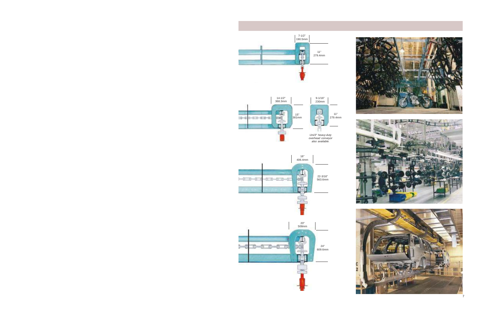

7-1/2" 190.5mm

ıπ

11" 279.4mm





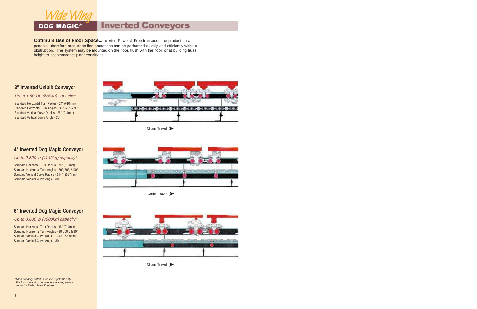

# DOG MAGIC® | Inverted Conveyors

**Optimum Use of Floor Space...**Inverted Power & Free transports the product on a pedestal, therefore production line operations can be performed quickly and efficiently without obstruction. The system may be mounted on the floor, flush with the floor, or at building truss height to accommodate plant conditions.

# **3" Inverted Unibilt Conveyor**

#### Up to 1,500 lb (680kg) capacity\*

Standard Horizontal Turn Radius - 24" (610mm) Standard Horizontal Turn Angles - 30°, 60°, & 90° Standard Vertical Curve Radius - 36" (914mm) Standard Vertical Curve Angle - 30°



# **4" Inverted Dog Magic Conveyor**

#### Up to 2,500 lb (1140kg) capacity\*

Standard Horizontal Turn Radius - 24" (610mm) Standard Horizontal Turn Angles - 30°, 60°, & 90° Standard Vertical Curve Radius - 144" (3657mm) Standard Vertical Curve Angle - 30°



Chain Travel

# **6" Inverted Dog Magic Conveyor**

# Up to 8,000 lb (3600kg) capacity\*

Standard Horizontal Turn Radius - 36" (914mm) Standard Horizontal Turn Angles - 30°, 60°, & 90° Standard Vertical Curve Radius - 240" (6096mm) Standard Vertical Curve Angle - 30°



 \* Load capacity noted is for level systems only. For load capacity of non-level systems, please contact a Webb Sales Engineer.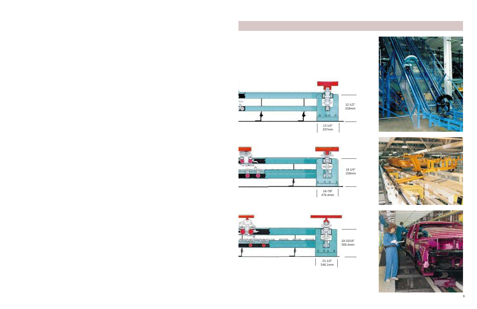









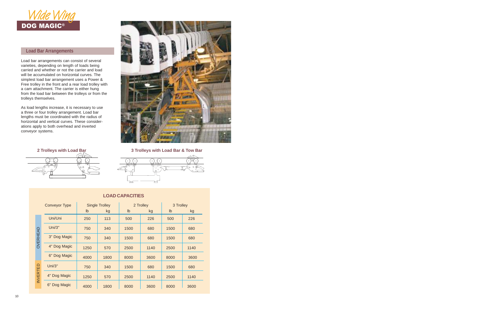

# **Load Bar Arrangements**

Load bar arrangements can consist of several varieties, depending on length of loads being carried and whether or not the carrier and load will be accumulated on horizontal curves. The simplest load bar arrangement uses a Power & Free trolley in the front and a rear load trolley with a cam attachment. The carrier is either hung from the load bar between the trolleys or from the trolleys themselves.

As load lengths increase, it is necessary to use a three or four trolley arrangement. Load bar lengths must be coordinated with the radius of horizontal and vertical curves. These considerations apply to both overhead and inverted conveyor systems.



### **2 Trolleys with Load Bar 3 Trolleys with Load Bar & Tow Bar**





| <b>Conveyor Type</b> |              | <b>Single Trolley</b> |      | 2 Trolley |      | 3 Trolley |      |  |  |
|----------------------|--------------|-----------------------|------|-----------|------|-----------|------|--|--|
|                      |              | Ib                    | kg   | lb        | kg   | Ib        | kg   |  |  |
|                      | Uni/Uni      | 250                   | 113  | 500       | 226  | 500       | 226  |  |  |
|                      | Uni/3"       | 750                   | 340  | 1500      | 680  | 1500      | 680  |  |  |
| OVERHEAD             | 3" Dog Magic | 750                   | 340  | 1500      | 680  | 1500      | 680  |  |  |
|                      | 4" Dog Magic | 1250                  | 570  | 2500      | 1140 | 2500      | 1140 |  |  |
|                      | 6" Dog Magic | 4000                  | 1800 | 8000      | 3600 | 8000      | 3600 |  |  |
|                      | Uni/3"       | 750                   | 340  | 1500      | 680  | 1500      | 680  |  |  |
| <b>INVERTED</b>      | 4" Dog Magic | 1250                  | 570  | 2500      | 1140 | 2500      | 1140 |  |  |
|                      | 6" Dog Magic | 4000                  | 1800 | 8000      | 3600 | 8000      | 3600 |  |  |

# **LOAD CAPACITIES**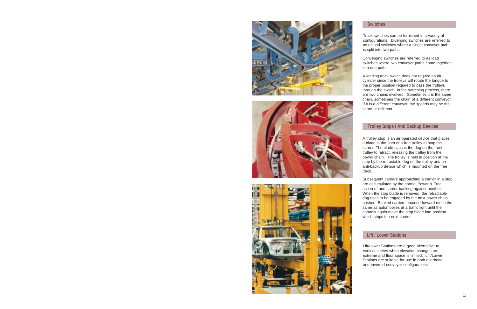





# **Switches**

Track switches can be furnished in a variety of configurations. Diverging switches are referred to as unload switches where a single conveyor path is split into two paths.

Converging switches are referred to as load switches where two conveyor paths come together into one path.

A loading track switch does not require an air cylinder since the trolleys will rotate the tongue to the proper position required to pass the trolleys through the switch. In the switching process, there are two chains involved. Sometimes it is the same chain, sometimes the chain of a different conveyor. If it is a different conveyor, the speeds may be the same or different.

### **Trolley Stops / Anti Backup Devices**

A trolley stop is an air operated device that places a blade in the path of a free trolley to stop the carrier. The blade causes the dog on the front trolley to retract, releasing the trolley from the power chain. The trolley is held in position at the stop by the retractable dog on the trolley and an anti-backup device which is mounted on the free track.

Subsequent carriers approaching a carrier in a stop are accumulated by the normal Power & Free action of one carrier banking against another. When the stop blade is removed, the retractable dog rises to be engaged by the next power chain pusher. Banked carriers proceed forward much the same as automobiles at a traffic light until the controls again move the stop blade into position which stops the next carrier.

# **Lift / Lower Stations**

Lift/Lower Stations are a good alternative to vertical curves when elevation changes are extreme and floor space is limited. Lift/Lower Stations are suitable for use in both overhead and inverted conveyor configurations.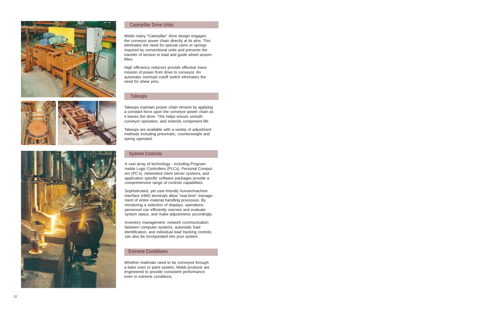







### **Caterpillar Drive Units**

Webb rotary "Caterpillar" drive design engages the conveyor power chain directly at its pins. This eliminates the need for special cams or springs required by conventional units and prevents the transfer of tension to load and guide wheel assemblies.

High efficiency reducers provide effective transmission of power from drive to conveyor. An automatic overload cutoff switch eliminates the need for shear pins.

#### **Takeups**

Takeups maintain proper chain tension by applying a constant force upon the conveyor power chain as it leaves the drive. This helps ensure smooth conveyor operation, and extends component life.

Takeups are available with a variety of adjustment methods including pneumatic, counterweight and spring operated.

#### **System Controls**

A vast array of technology - including Programmable Logic Controllers (PLCs), Personal Computers (PC's), networked client server systems, and application specific software packages provide a comprehensive range of controls capabilities.

Sophisticated, yet user-friendly human/machine interface (HMI) terminals allow "real-time" management of entire material handling processes. By monitoring a selection of displays, operations personnel can efficiently oversee and evaluate system status, and make adjustments accordingly.

Inventory management, network communication between computer systems, automatic load identification, and individual load tracking controls can also be incorporated into your system.

# **Extreme Conditions**

Whether materials need to be conveyed through a bake oven or paint system, Webb products are engineered to provide consistent performance even in extreme conditions.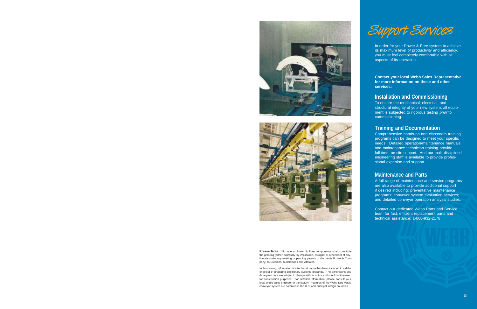



**Please Note:** No sale of Power & Free components shall constitute the granting (either expressly, by implication, estoppel or otherwise) of any license under any existing or pending patents of the Jervis B. Webb Company, its Divisions, Subsidiaries and Affiliates.

In this catalog, information of a technical nature has been included to aid the engineer in preparing preliminary systems drawings. The dimensions and data given here are subject to change without notice and should not be used for construction purposes. For detailed information, please consult your local Webb sales engineer or the factory. Features of the Webb Dog Magic conveyor system are patented in the U.S. and principal foreign countries.



In order for your Power & Free system to achieve its maximum level of productivity and efficiency, you must feel completely comfortable with all aspects of its operation.

**Contact your local Webb Sales Representative for more information on these and other services.**

# **Installation and Commissioning**

To ensure the mechanical, electrical, and structural integrity of your new system, all equipment is subjected to rigorous testing prior to commissioning.

# **Training and Documentation**

Comprehensive hands-on and classroom training programs can be designed to meet your specific needs. Detailed operation/maintenance manuals and maintenance technician training provide full-time, on-site support. And our multi-disciplined engineering staff is available to provide professional expertise and support.

# **Maintenance and Parts**

A full range of maintenance and service programs are also available to provide additional support if desired including: preventative maintenance programs; conveyor system evaluation services; and detailed conveyor operation analysis studies.

Contact our dedicated Webb Parts and Service team for fast, efficient replacement parts and technical assistance: 1-800-932-2178